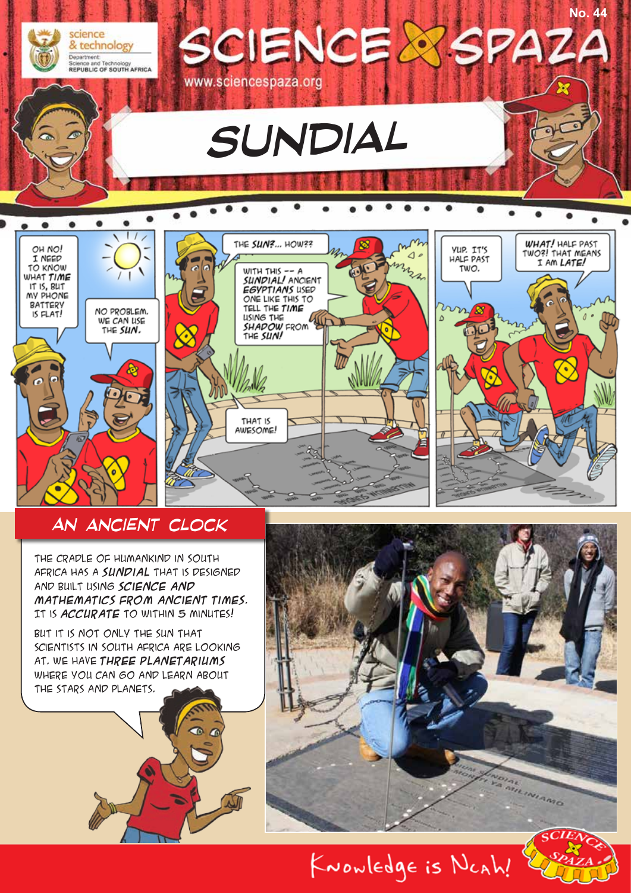

#### *An ancient clock*

The Cradle of Humankind in South Africa has a **sundial** that is designed and built using **science and mathematics from ancient times**. It is **accurate** to within 5 minutes!

But it is not only the sun that scientists in South Africa are looking at. We have **three planetariums** where you can go and learn about the stars and planets.



KNOWLEDge is NCAh!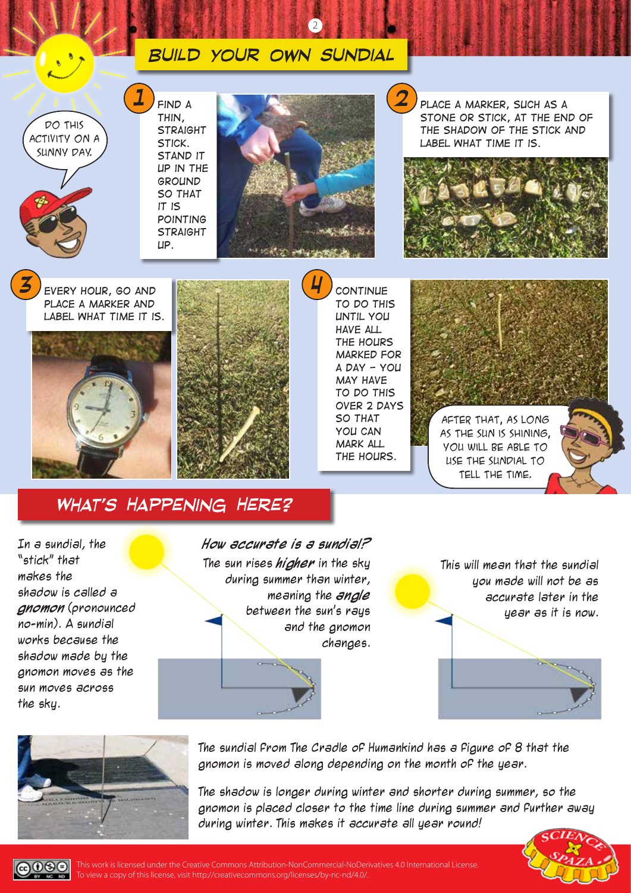#### *Build your own sundial Place a marker, such as a stone or stick, at the end of the shadow of the stick and label what time it is. 2 Every hour, go and place a marker and label what time it is. 3* Do this activity on a sunny day. *Find a thin, straight stick. Stand it up in the ground so that it is pointing straight up. 1 Continue to do this until you have all the hours marked for a day - you may have to do this over 2 days so that 4* After that, as long

2

*you can mark all the hours.* as the sun is shining, you will be able to use the sundial to tell the time.

*What's Happening Here?*

In a sundial, the "stick" that makes the shadow is called a **gnomon** (pronounced no-min). A sundial works because the shadow made by the gnomon moves as the sun moves across the sky.

**How accurate is a sundial?** The sun rises **higher** in the sky during summer than winter, meaning the **angle** between the sun's rays and the gnomon changes.

This will mean that the sundial you made will not be as accurate later in the year as it is now.



The sundial from The Cradle of Humankind has a figure of 8 that the gnomon is moved along depending on the month of the year.

The shadow is longer during winter and shorter during summer, so the gnomon is placed closer to the time line during summer and further away during winter. This makes it accurate all year round!



 $0$  $\Theta$ This work is licensed under the Creative Commons Attribution-NonCommercial-NoDerivatives 4.0 International License. To view a copy of this license, visit http://creativecommons.org/licenses/by-nc-nd/4.0/.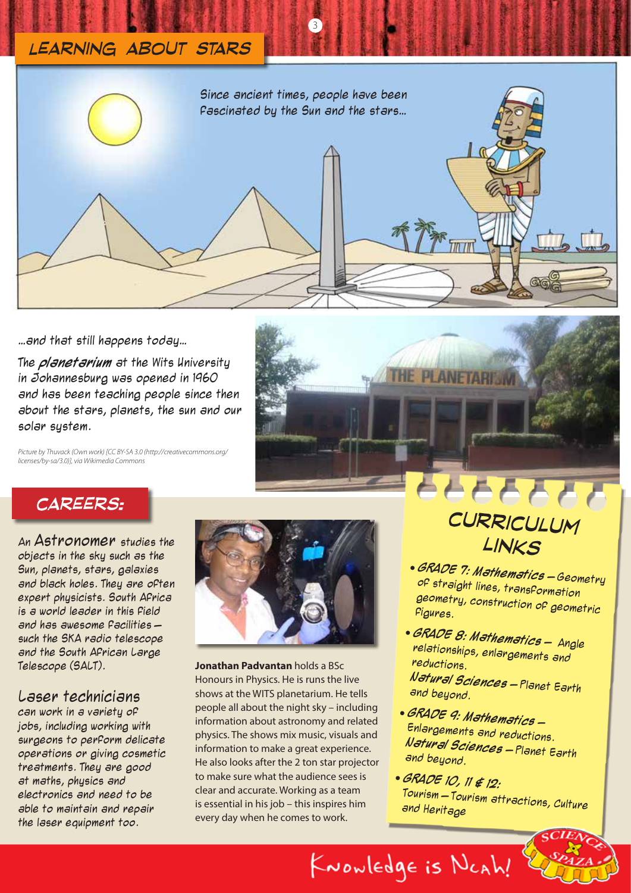### *Learning about stars*



3

…and that still happens today…

The **planetarium** at the Wits University in Johannesburg was opened in 1960 and has been teaching people since then about the stars, planets, the sun and our solar system.

*Picture by Thuvack (Own work) [CC BY-SA 3.0 (http://creativecommons.org/ licenses/by-sa/3.0)], via Wikimedia Commons*

# **PLANETARI** 66666

#### *careers:*

An Astronomer studies the objects in the sky such as the Sun, planets, stars, galaxies and black holes. They are often expert physicists. South Africa is a world leader in this field and has awesome facilities – such the SKA radio telescope and the South African Large Telescope (SALT).

#### Laser technicians

can work in a variety of jobs, including working with surgeons to perform delicate operations or giving cosmetic treatments. They are good at maths, physics and electronics and need to be able to maintain and repair the laser equipment too.



**Jonathan Padvantan** holds a BSc Honours in Physics. He is runs the live shows at the WITS planetarium. He tells people all about the night sky – including information about astronomy and related physics. The shows mix music, visuals and information to make a great experience. He also looks after the 2 ton star projector to make sure what the audience sees is clear and accurate. Working as a team is essential in his job – this inspires him every day when he comes to work.

# *curriculum links*

- **GRADE 7: Mathematics** Geometry of straight lines, transformation geometry, construction of geometric figures.
- **GRADE 8: Mathematics** Angle relationships, enlargements and reductions. **Natural Sciences** – Planet Earth and beyond.
- **GRADE 9: Mathematics** Enlargements and reductions. **Natural Sciences** – Planet Earth and beyond.
- **GRADE 10, 11 & 12:**  Tourism – Tourism attractions, Culture and Heritage

KNOWledge is NCAh!